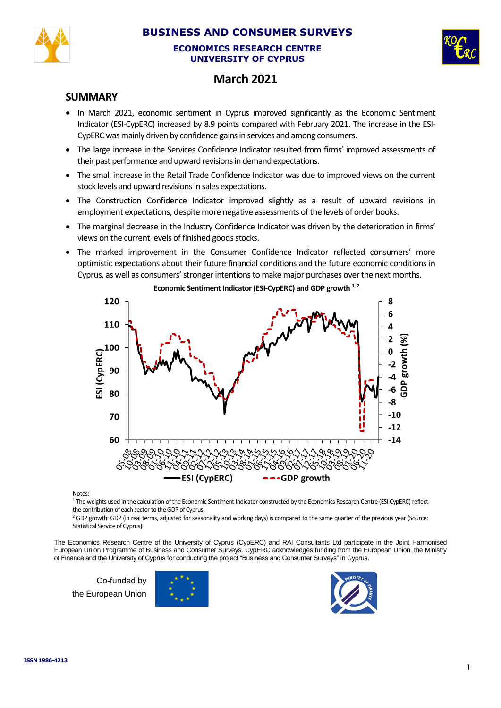

## **BUSINESS AND CONSUMER SURVEYS**

#### **ECONOMICS RESEARCH CENTRE UNIVERSITY OF CYPRUS**



# **March 2021**

## **SUMMARY**

- In March 2021, economic sentiment in Cyprus improved significantly as the Economic Sentiment Indicator (ESI-CypERC) increased by 8.9 points compared with February 2021. The increase in the ESI-CypERC was mainly driven by confidence gains in services and among consumers.
- The large increase in the Services Confidence Indicator resulted from firms' improved assessments of their past performance and upward revisions in demand expectations.
- The small increase in the Retail Trade Confidence Indicator was due to improved views on the current stock levels and upward revisions in sales expectations.
- The Construction Confidence Indicator improved slightly as a result of upward revisions in employment expectations, despite more negative assessments of the levels of order books.
- The marginal decrease in the Industry Confidence Indicator was driven by the deterioration in firms' views on the current levels of finished goods stocks.
- The marked improvement in the Consumer Confidence Indicator reflected consumers' more optimistic expectations about their future financial conditions and the future economic conditions in Cyprus, as well as consumers' stronger intentionsto make major purchases over the next months.



**Economic Sentiment Indicator (ESI-CypERC) and GDP growth 1, 2**

**Notes** 

<sup>1</sup> The weights used in the calculation of the Economic Sentiment Indicator constructed by the Economics Research Centre (ESI CypERC) reflect the contribution of each sector to the GDP of Cyprus.

<sup>2</sup> GDP growth: GDP (in real terms, adjusted for seasonality and working days) is compared to the same quarter of the previous year (Source: Statistical Service of Cyprus).

The Economics Research Centre of the University of Cyprus (CypERC) and RAI Consultants Ltd participate in the Joint Harmonised European Union Programme of Business and Consumer Surveys. CypERC acknowledges funding from the European Union, the Ministry of Finance and the University of Cyprus for conducting the project "Business and Consumer Surveys" in Cyprus.

Co-funded by the European Union



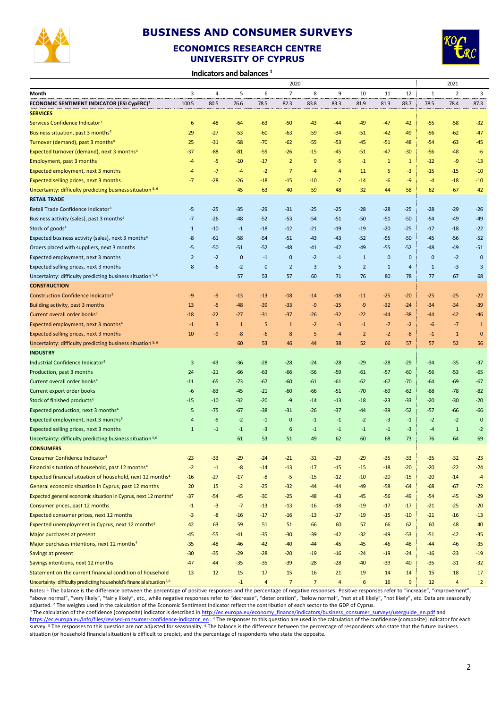

## **BUSINESS AND CONSUMER SURVEYS**

### **ECONOMICS RESEARCH CENTRE UNIVERSITY OF CYPRUS**



**Indicators and balances <sup>1</sup>**

|                                                                                   |                | 2020  |              |                |                |                |                |                |              |              |              | 2021           |                |  |
|-----------------------------------------------------------------------------------|----------------|-------|--------------|----------------|----------------|----------------|----------------|----------------|--------------|--------------|--------------|----------------|----------------|--|
| Month                                                                             | 3              | 4     | 5            | 6              | $\overline{7}$ | 8              | 9              | 10             | 11           | 12           | $\mathbf 1$  | $\overline{2}$ | 3              |  |
| ECONOMIC SENTIMENT INDICATOR (ESI CypERC) <sup>2</sup>                            | 100.5          | 80.5  | 76.6         | 78.5           | 82.3           | 83.8           | 83.3           | 81.9           | 81.3         | 83.7         | 78.5         | 78.4           | 87.3           |  |
| <b>SERVICES</b>                                                                   |                |       |              |                |                |                |                |                |              |              |              |                |                |  |
| Services Confidence Indicator <sup>3</sup>                                        | 6              | $-48$ | $-64$        | $-63$          | $-50$          | $-43$          | -44            | -49            | $-47$        | $-42$        | $-55$        | $-58$          | $-32$          |  |
| Business situation, past 3 months <sup>4</sup>                                    | 29             | $-27$ | $-53$        | $-60$          | $-63$          | $-59$          | -34            | $-51$          | $-42$        | $-49$        | $-56$        | $-62$          | $-47$          |  |
| Turnover (demand), past 3 months <sup>4</sup>                                     | 25             | $-31$ | $-58$        | $-70$          | -62            | $-55$          | -53            | -45            | $-51$        | $-48$        | $-54$        | -63            | $-45$          |  |
| Expected turnover (demand), next 3 months <sup>4</sup>                            | $-37$          | $-88$ | $-81$        | $-59$          | $-26$          | $-15$          | $-45$          | $-51$          | $-47$        | $-30$        | $-56$        | $-48$          | $-6$           |  |
| Employment, past 3 months                                                         | $-4$           | -5    | $-10$        | $-17$          | $\overline{2}$ | 9              | -5             | $-1$           | $\mathbf{1}$ | $\mathbf{1}$ | $-12$        | -9             | $-13$          |  |
| Expected employment, next 3 months                                                | -4             | $-7$  | $-4$         | $-2$           | $\overline{7}$ | $-4$           | 4              | 11             | 5            | $-3$         | $-15$        | $-15$          | $-10$          |  |
| Expected selling prices, next 3 months                                            | $-7$           | $-28$ | $-26$        | $-18$          | $-15$          | $-10$          | $-7$           | $-14$          | $-6$         | -9           | $-4$         | $-18$          | $-10$          |  |
| Uncertainty: difficulty predicting business situation 5, 6                        |                |       | 45           | 63             | 40             | 59             | 48             | 32             | 44           | 58           | 62           | 67             | 42             |  |
| <b>RETAIL TRADE</b>                                                               |                |       |              |                |                |                |                |                |              |              |              |                |                |  |
| Retail Trade Confidence Indicator <sup>3</sup>                                    | $-5$           | $-25$ | $-35$        | $-29$          | $-31$          | $-25$          | $-25$          | $-28$          | $-28$        | $-25$        | $-28$        | $-29$          | $-26$          |  |
| Business activity (sales), past 3 months <sup>4</sup>                             | $-7$           | $-26$ | $-48$        | $-52$          | $-53$          | $-54$          | $-51$          | $-50$          | $-51$        | $-50$        | $-54$        | $-49$          | $-49$          |  |
| Stock of goods <sup>4</sup>                                                       | $\mathbf{1}$   | $-10$ | $-1$         | $-18$          | $-12$          | $-21$          | $-19$          | $-19$          | $-20$        | $-25$        | $-17$        | $-18$          | $-22$          |  |
| Expected business activity (sales), next 3 months <sup>4</sup>                    | -8             | $-61$ | $-58$        | $-54$          | $-51$          | $-43$          | -43            | $-52$          | $-55$        | $-50$        | $-45$        | $-56$          | $-52$          |  |
| Orders placed with suppliers, next 3 months                                       | $-5$           | $-50$ | $-51$        | $-52$          | $-48$          | $-41$          | $-42$          | $-49$          | $-55$        | $-52$        | -48          | -49            | $-51$          |  |
| Expected employment, next 3 months                                                | $\overline{2}$ | $-2$  | $\mathbf 0$  | $-1$           | $\mathbf 0$    | $-2$           | $-1$           | $\mathbf{1}$   | $\mathbf 0$  | $\mathbf 0$  | $\mathbf{0}$ | $-2$           | $\bf{0}$       |  |
| Expected selling prices, next 3 months                                            | 8              | -6    | $-2$         | $\mathbf 0$    | $\overline{2}$ | 3              | 5              | $\overline{2}$ | $\mathbf{1}$ | 4            | $1\,$        | $-3$           | 3              |  |
| Uncertainty: difficulty predicting business situation 5, 6                        |                |       | 57           | 53             | 57             | 60             | 71             | 76             | 80           | 78           | 77           | 67             | 68             |  |
| <b>CONSTRUCTION</b>                                                               |                |       |              |                |                |                |                |                |              |              |              |                |                |  |
| Construction Confidence Indicator <sup>3</sup>                                    | -9             | -9    | $-13$        | $-13$          | $-18$          | $-14$          | $-18$          | $-11$          | $-25$        | $-20$        | $-25$        | $-25$          | $-22$          |  |
| Building activity, past 3 months                                                  | 13             | -5    | $-48$        | $-39$          | $-33$          | -9             | $-15$          | -9             | $-32$        | $-24$        | $-34$        | $-34$          | $-39$          |  |
| Current overall order books <sup>4</sup>                                          | $-18$          | $-22$ | $-27$        | $-31$          | $-37$          | $-26$          | -32            | $-22$          | $-44$        | $-38$        | $-44$        | -42            | $-46$          |  |
| Expected employment, next 3 months <sup>4</sup>                                   | $-1$           | 3     | $\mathbf{1}$ | 5              | $\mathbf{1}$   | $-2$           | $-3$           | $-1$           | $-7$         | $-2$         | -6           | $-7$           | $\mathbf{1}$   |  |
| Expected selling prices, next 3 months                                            | 10             | -9    | -8           | -6             | 8              | 5              | $-4$           | $\overline{2}$ | $-2$         | -8           | $-1$         | $\mathbf 1$    | $\bf{0}$       |  |
| Uncertainty: difficulty predicting business situation 5, 6                        |                |       | 60           | 53             | 46             | 44             | 38             | 52             | 66           | 57           | 57           | 52             | 56             |  |
| <b>INDUSTRY</b>                                                                   |                |       |              |                |                |                |                |                |              |              |              |                |                |  |
| Industrial Confidence Indicator <sup>3</sup>                                      | 3              | $-43$ | $-36$        | $-28$          | $-28$          | $-24$          | $-28$          | $-29$          | $-28$        | $-29$        | $-34$        | $-35$          | $-37$          |  |
| Production, past 3 months                                                         | 24             | $-21$ | $-66$        | $-63$          | $-66$          | $-56$          | $-59$          | $-61$          | $-57$        | $-60$        | $-56$        | $-53$          | $-65$          |  |
| Current overall order books <sup>4</sup>                                          | $-11$          | $-65$ | $-73$        | $-67$          | $-60$          | $-61$          | $-61$          | $-62$          | -67          | $-70$        | $-64$        | $-69$          | $-67$          |  |
| Current export order books                                                        | -6             | $-83$ | $-45$        | $-21$          | -60            | $-66$          | $-51$          | $-70$          | -69          | $-62$        | $-68$        | $-78$          | $-82$          |  |
| Stock of finished products <sup>4</sup>                                           | $-15$          | $-10$ | $-32$        | $-20$          | -9             | $-14$          | $-13$          | $-18$          | $-23$        | $-33$        | $-20$        | $-30$          | $-20$          |  |
| Expected production, next 3 months <sup>4</sup>                                   | 5              | $-75$ | $-67$        | $-38$          | $-31$          | $-26$          | $-37$          | -44            | $-39$        | $-52$        | $-57$        | -66            | $-66$          |  |
| Expected employment, next 3 months <sup>5</sup>                                   | 4              | $-5$  | $-2$         | $-1$           | $\mathbf{0}$   | $-1$           | $-1$           | $-2$           | $-3$         | $-1$         | $-2$         | $-2$           | $\mathbf 0$    |  |
| Expected selling prices, next 3 months                                            | $\mathbf{1}$   | $-1$  | $-1$         | $-3$           | 6              | $-1$           | $-1$           | $-1$           | $-1$         | $-3$         | $-4$         | $\mathbf 1$    | $-2$           |  |
| Uncertainty: difficulty predicting business situation 5,6                         |                |       | 61           | 53             | 51             | 49             | 62             | 60             | 68           | 73           | 76           | 64             | 69             |  |
| <b>CONSUMERS</b>                                                                  |                |       |              |                |                |                |                |                |              |              |              |                |                |  |
| Consumer Confidence Indicator <sup>3</sup>                                        | -23            | -33   | -29          | -24            | -21            | -31            | $-29$          | $-29$          | -35          | -33          | $-35$        | -32            | $-23$          |  |
| Financial situation of household, past 12 months <sup>4</sup>                     | $-2$           | $-1$  | $-8$         | $-14$          | $-13$          | $-17$          | $-15$          | $-15$          | $-18$        | $-20$        | $-20$        | $-22$          | $-24$          |  |
| Expected financial situation of household, next 12 months <sup>4</sup>            | $-16$          | $-27$ | $-17$        | -8             | $-5$           | $-15$          | $-12$          | $-10$          | $-20$        | $-15$        | $-20$        | $-14$          | $-4$           |  |
| General economic situation in Cyprus, past 12 months                              | 20             | 15    | $-2$         | $-25$          | $-32$          | $-44$          | $-44$          | $-49$          | $-58$        | $-64$        | $-68$        | $-67$          | $-72$          |  |
| Expected general economic situation in Cyprus, next 12 months <sup>4</sup>        | $-37$          | $-54$ | $-45$        | $-30$          | $-25$          | $-48$          | -43            | $-45$          | $-56$        | $-49$        | $-54$        | $-45$          | $-29$          |  |
| Consumer prices, past 12 months                                                   | $-1$           | $-3$  | $-7$         | $-13$          | $-13$          | $-16$          | $-18$          | $-19$          | $-17$        | $-17$        | $-21$        | $-25$          | $-20$          |  |
| Expected consumer prices, next 12 months                                          | $-3$           | -8    | $-16$        | $-17$          | $-16$          | $-13$          | $-17$          | $-19$          | $-15$        | $-10$        | $-21$        | $-16$          | $-13$          |  |
| Expected unemployment in Cyprus, next 12 months <sup>5</sup>                      | 42             | 63    | 59           | 51             | 51             | 66             | 60             | 57             | 66           | 62           | 60           | 48             | 40             |  |
| Major purchases at present                                                        | $-45$          | $-55$ | $-41$        | $-35$          | $-30$          | $-39$          | $-42$          | $-32$          | $-49$        | $-53$        | $-51$        | $-42$          | $-35$          |  |
| Major purchases intentions, next 12 months <sup>4</sup>                           | $-35$          | $-48$ | $-46$        | $-42$          | $-40$          | $-44$          | $-45$          | $-45$          | $-46$        | $-48$        | $-44$        | $-46$          | $-35$          |  |
| Savings at present                                                                | $-30$          | $-35$ | $-29$        | $-28$          | $-20$          | $-19$          | $-16$          | $-24$          | $-19$        | $-24$        | $-16$        | $-23$          | $-19$          |  |
| Savings intentions, next 12 months                                                | $-47$          | $-44$ | $-35$        | $-35$          | $-39$          | $-28$          | $-28$          | $-40$          | $-39$        | $-40$        | $-35$        | $-31$          | $-32$          |  |
| Statement on the current financial condition of household                         | 13             | 12    | 15           | 17             | 15             | 16             | 21             | 19             | 14           | 14           | 15           | 18             | 17             |  |
| Uncertainty: difficulty predicting household's financial situation <sup>5,6</sup> |                |       | $-1$         | $\overline{4}$ | $\overline{7}$ | $\overline{7}$ | $\overline{a}$ | 6              | 16           | $9\,$        | 12           | $\overline{4}$ | $\overline{2}$ |  |

Notes: 1 The balance is the difference between the percentage of positive responses and the percentage of negative responses. Positive responses refer to "increase", "improvement", "above normal", "very likely", "fairly likely", etc., while negative responses refer to "decrease", "deterioration", "below normal", "not at all likely", "not likely", etc. Data are seasonally adjusted. <sup>2</sup> The weights used in the calculation of the Economic Sentiment Indicator reflect the contribution of each sector to the GDP of Cyprus.

<sup>3</sup> The calculation of the confidence (composite) indicator is described in [http://ec.europa.eu/economy\\_finance/indicators/business\\_consumer\\_surveys/userguide\\_en.pdf](http://ec.europa.eu/economy_finance/indicators/business_consumer_surveys/userguide_en.pdf) and

[https://ec.europa.eu/info/files/revised-consumer-confidence-indicator\\_en](https://ec.europa.eu/info/files/revised-consumer-confidence-indicator_en) . <sup>4</sup> The responses to this question are used in the calculation of the confidence (composite) indicator for each survey. <sup>5</sup> The responses to this question are not adjusted for seasonality. <sup>6</sup> The balance is the difference between the percentage of respondents who state that the future business situation (or household financial situation) is difficult to predict, and the percentage of respondents who state the opposite.